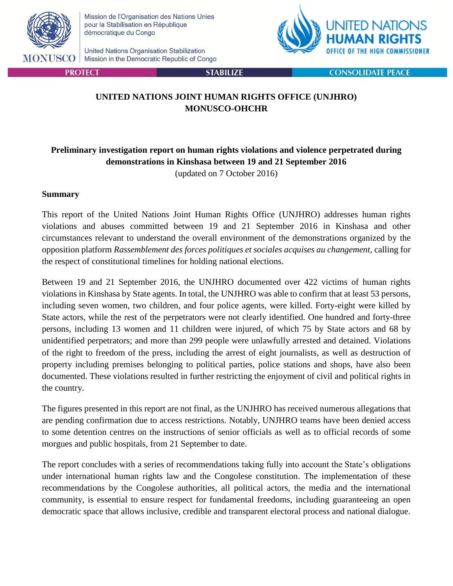

**PROTECT** 

Mission de l'Organisation des Nations Unies pour la Stabilisation en République démocratique du Congo

United Nations Organisation Stabilization Mission in the Democratic Republic of Congo



**CONSOLIDATE PEACE** 

## **UNITED NATIONS JOINT HUMAN RIGHTS OFFICE (UNJHRO) MONUSCO-OHCHR**

**STABILIZE** 

# **Preliminary investigation report on human rights violations and violence perpetrated during demonstrations in Kinshasa between 19 and 21 September 2016**

(updated on 7 October 2016)

#### **Summary**

This report of the United Nations Joint Human Rights Office (UNJHRO) addresses human rights violations and abuses committed between 19 and 21 September 2016 in Kinshasa and other circumstances relevant to understand the overall environment of the demonstrations organized by the opposition platform *Rassemblement des forces politiques et sociales acquises au changement*, calling for the respect of constitutional timelines for holding national elections.

Between 19 and 21 September 2016, the UNJHRO documented over 422 victims of human rights violations in Kinshasa by State agents. In total, the UNJHRO was able to confirm that at least 53 persons, including seven women, two children, and four police agents, were killed. Forty-eight were killed by State actors, while the rest of the perpetrators were not clearly identified. One hundred and forty-three persons, including 13 women and 11 children were injured, of which 75 by State actors and 68 by unidentified perpetrators; and more than 299 people were unlawfully arrested and detained. Violations of the right to freedom of the press, including the arrest of eight journalists, as well as destruction of property including premises belonging to political parties, police stations and shops, have also been documented. These violations resulted in further restricting the enjoyment of civil and political rights in the country.

The figures presented in this report are not final, as the UNJHRO has received numerous allegations that are pending confirmation due to access restrictions. Notably, UNJHRO teams have been denied access to some detention centres on the instructions of senior officials as well as to official records of some morgues and public hospitals, from 21 September to date.

The report concludes with a series of recommendations taking fully into account the State's obligations under international human rights law and the Congolese constitution. The implementation of these recommendations by the Congolese authorities, all political actors, the media and the international community, is essential to ensure respect for fundamental freedoms, including guaranteeing an open democratic space that allows inclusive, credible and transparent electoral process and national dialogue.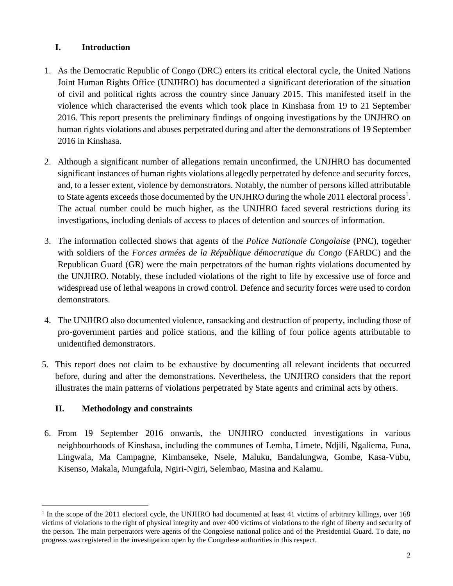# **I. Introduction**

- 1. As the Democratic Republic of Congo (DRC) enters its critical electoral cycle, the United Nations Joint Human Rights Office (UNJHRO) has documented a significant deterioration of the situation of civil and political rights across the country since January 2015. This manifested itself in the violence which characterised the events which took place in Kinshasa from 19 to 21 September 2016. This report presents the preliminary findings of ongoing investigations by the UNJHRO on human rights violations and abuses perpetrated during and after the demonstrations of 19 September 2016 in Kinshasa.
- 2. Although a significant number of allegations remain unconfirmed, the UNJHRO has documented significant instances of human rights violations allegedly perpetrated by defence and security forces, and, to a lesser extent, violence by demonstrators. Notably, the number of persons killed attributable to State agents exceeds those documented by the UNJHRO during the whole 2011 electoral process<sup>1</sup>. The actual number could be much higher, as the UNJHRO faced several restrictions during its investigations, including denials of access to places of detention and sources of information.
- 3. The information collected shows that agents of the *Police Nationale Congolaise* (PNC), together with soldiers of the *Forces armées de la République démocratique du Congo* (FARDC) and the Republican Guard (GR) were the main perpetrators of the human rights violations documented by the UNJHRO. Notably, these included violations of the right to life by excessive use of force and widespread use of lethal weapons in crowd control. Defence and security forces were used to cordon demonstrators.
- 4. The UNJHRO also documented violence, ransacking and destruction of property, including those of pro-government parties and police stations, and the killing of four police agents attributable to unidentified demonstrators.
- 5. This report does not claim to be exhaustive by documenting all relevant incidents that occurred before, during and after the demonstrations. Nevertheless, the UNJHRO considers that the report illustrates the main patterns of violations perpetrated by State agents and criminal acts by others.

# **II. Methodology and constraints**

6. From 19 September 2016 onwards, the UNJHRO conducted investigations in various neighbourhoods of Kinshasa, including the communes of Lemba, Limete, Ndjili, Ngaliema, Funa, Lingwala, Ma Campagne, Kimbanseke, Nsele, Maluku, Bandalungwa, Gombe, Kasa-Vubu, Kisenso, Makala, Mungafula, Ngiri-Ngiri, Selembao, Masina and Kalamu.

 $\overline{a}$ <sup>1</sup> In the scope of the 2011 electoral cycle, the UNJHRO had documented at least 41 victims of arbitrary killings, over 168 victims of violations to the right of physical integrity and over 400 victims of violations to the right of liberty and security of the person. The main perpetrators were agents of the Congolese national police and of the Presidential Guard. To date, no progress was registered in the investigation open by the Congolese authorities in this respect.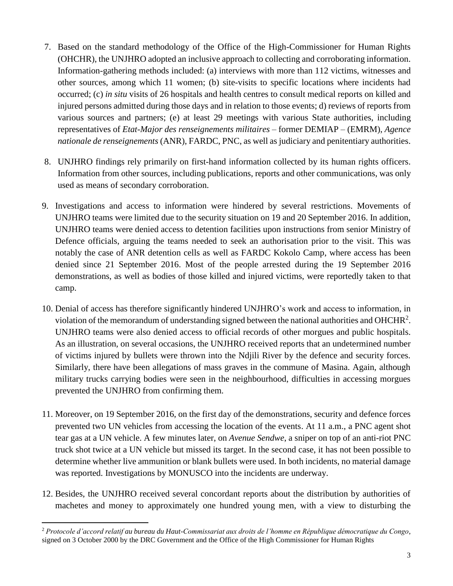- 7. Based on the standard methodology of the Office of the High-Commissioner for Human Rights (OHCHR), the UNJHRO adopted an inclusive approach to collecting and corroborating information. Information-gathering methods included: (a) interviews with more than 112 victims, witnesses and other sources, among which 11 women; (b) site-visits to specific locations where incidents had occurred; (c) *in situ* visits of 26 hospitals and health centres to consult medical reports on killed and injured persons admitted during those days and in relation to those events; d) reviews of reports from various sources and partners; (e) at least 29 meetings with various State authorities, including representatives of *Etat-Major des renseignements militaires* – former DEMIAP – (EMRM), *Agence nationale de renseignements* (ANR), FARDC, PNC, as well as judiciary and penitentiary authorities.
- 8. UNJHRO findings rely primarily on first-hand information collected by its human rights officers. Information from other sources, including publications, reports and other communications, was only used as means of secondary corroboration.
- 9. Investigations and access to information were hindered by several restrictions. Movements of UNJHRO teams were limited due to the security situation on 19 and 20 September 2016. In addition, UNJHRO teams were denied access to detention facilities upon instructions from senior Ministry of Defence officials, arguing the teams needed to seek an authorisation prior to the visit. This was notably the case of ANR detention cells as well as FARDC Kokolo Camp, where access has been denied since 21 September 2016. Most of the people arrested during the 19 September 2016 demonstrations, as well as bodies of those killed and injured victims, were reportedly taken to that camp.
- 10. Denial of access has therefore significantly hindered UNJHRO's work and access to information, in violation of the memorandum of understanding signed between the national authorities and OHCHR<sup>2</sup>. UNJHRO teams were also denied access to official records of other morgues and public hospitals. As an illustration, on several occasions, the UNJHRO received reports that an undetermined number of victims injured by bullets were thrown into the Ndjili River by the defence and security forces. Similarly, there have been allegations of mass graves in the commune of Masina. Again, although military trucks carrying bodies were seen in the neighbourhood, difficulties in accessing morgues prevented the UNJHRO from confirming them.
- 11. Moreover, on 19 September 2016, on the first day of the demonstrations, security and defence forces prevented two UN vehicles from accessing the location of the events. At 11 a.m., a PNC agent shot tear gas at a UN vehicle. A few minutes later, on *Avenue Sendwe*, a sniper on top of an anti-riot PNC truck shot twice at a UN vehicle but missed its target. In the second case, it has not been possible to determine whether live ammunition or blank bullets were used. In both incidents, no material damage was reported. Investigations by MONUSCO into the incidents are underway.
- 12. Besides, the UNJHRO received several concordant reports about the distribution by authorities of machetes and money to approximately one hundred young men, with a view to disturbing the

 $\overline{a}$ <sup>2</sup> *Protocole d'accord relatif au bureau du Haut-Commissariat aux droits de l'homme en République démocratique du Congo*, signed on 3 October 2000 by the DRC Government and the Office of the High Commissioner for Human Rights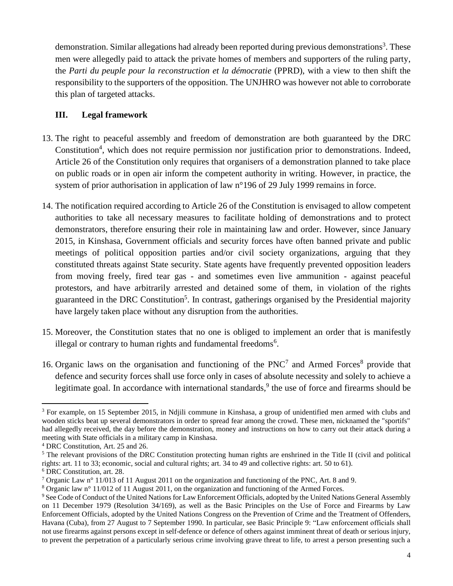demonstration. Similar allegations had already been reported during previous demonstrations<sup>3</sup>. These men were allegedly paid to attack the private homes of members and supporters of the ruling party, the *Parti du peuple pour la reconstruction et la démocratie* (PPRD), with a view to then shift the responsibility to the supporters of the opposition. The UNJHRO was however not able to corroborate this plan of targeted attacks.

#### **III. Legal framework**

- 13. The right to peaceful assembly and freedom of demonstration are both guaranteed by the DRC Constitution<sup>4</sup>, which does not require permission nor justification prior to demonstrations. Indeed, Article 26 of the Constitution only requires that organisers of a demonstration planned to take place on public roads or in open air inform the competent authority in writing. However, in practice, the system of prior authorisation in application of law n°196 of 29 July 1999 remains in force.
- 14. The notification required according to Article 26 of the Constitution is envisaged to allow competent authorities to take all necessary measures to facilitate holding of demonstrations and to protect demonstrators, therefore ensuring their role in maintaining law and order. However, since January 2015, in Kinshasa, Government officials and security forces have often banned private and public meetings of political opposition parties and/or civil society organizations, arguing that they constituted threats against State security. State agents have frequently prevented opposition leaders from moving freely, fired tear gas - and sometimes even live ammunition - against peaceful protestors, and have arbitrarily arrested and detained some of them, in violation of the rights guaranteed in the DRC Constitution<sup>5</sup>. In contrast, gatherings organised by the Presidential majority have largely taken place without any disruption from the authorities.
- 15. Moreover, the Constitution states that no one is obliged to implement an order that is manifestly illegal or contrary to human rights and fundamental freedoms<sup>6</sup>.
- 16. Organic laws on the organisation and functioning of the PNC<sup>7</sup> and Armed Forces<sup>8</sup> provide that defence and security forces shall use force only in cases of absolute necessity and solely to achieve a legitimate goal. In accordance with international standards,<sup>9</sup> the use of force and firearms should be

 $\overline{a}$ <sup>3</sup> For example, on 15 September 2015, in Ndjili commune in Kinshasa, a group of unidentified men armed with clubs and wooden sticks beat up several demonstrators in order to spread fear among the crowd. These men, nicknamed the "sportifs" had allegedly received, the day before the demonstration, money and instructions on how to carry out their attack during a meeting with State officials in a military camp in Kinshasa.

<sup>4</sup> DRC Constitution, Art. 25 and 26.

 $<sup>5</sup>$  The relevant provisions of the DRC Constitution protecting human rights are enshrined in the Title II (civil and political</sup> rights: art. 11 to 33; economic, social and cultural rights; art. 34 to 49 and collective rights: art. 50 to 61).

<sup>6</sup> DRC Constitution, art. 28.

<sup>7</sup> Organic Law n° 11/013 of 11 August 2011 on the organization and functioning of the PNC, Art. 8 and 9.

<sup>8</sup> Organic law n° 11/012 of 11 August 2011, on the organization and functioning of the Armed Forces.

<sup>9</sup> See Code of Conduct of the United Nations for Law Enforcement Officials, adopted by the United Nations General Assembly on 11 December 1979 (Resolution 34/169), as well as the Basic Principles on the Use of Force and Firearms by Law Enforcement Officials, adopted by the United Nations Congress on the Prevention of Crime and the Treatment of Offenders, Havana (Cuba), from 27 August to 7 September 1990. In particular, see Basic Principle 9: "Law enforcement officials shall not use firearms against persons except in self-defence or defence of others against imminent threat of death or serious injury, to prevent the perpetration of a particularly serious crime involving grave threat to life, to arrest a person presenting such a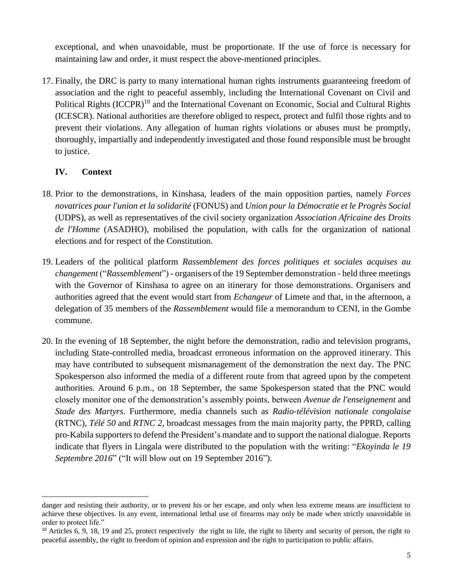exceptional, and when unavoidable, must be proportionate. If the use of force is necessary for maintaining law and order, it must respect the above-mentioned principles.

17. Finally, the DRC is party to many international human rights instruments guaranteeing freedom of association and the right to peaceful assembly, including the International Covenant on Civil and Political Rights (ICCPR)<sup>10</sup> and the International Covenant on Economic, Social and Cultural Rights (ICESCR). National authorities are therefore obliged to respect, protect and fulfil those rights and to prevent their violations. Any allegation of human rights violations or abuses must be promptly, thoroughly, impartially and independently investigated and those found responsible must be brought to justice.

### **IV. Context**

 $\overline{a}$ 

- 18. Prior to the demonstrations, in Kinshasa, leaders of the main opposition parties, namely *Forces novatrices pour l'union et la solidarité* (FONUS) and *Union pour la Démocratie et le Progrès Social*  (UDPS), as well as representatives of the civil society organization *Association Africaine des Droits de l'Homme* (ASADHO), mobilised the population, with calls for the organization of national elections and for respect of the Constitution.
- 19. Leaders of the political platform *Rassemblement des forces politiques et sociales acquises au changement* ("*Rassemblement*") - organisers of the 19 September demonstration - held three meetings with the Governor of Kinshasa to agree on an itinerary for those demonstrations. Organisers and authorities agreed that the event would start from *Echangeur* of Limete and that, in the afternoon, a delegation of 35 members of the *Rassemblement* would file a memorandum to CENI, in the Gombe commune.
- 20. In the evening of 18 September, the night before the demonstration, radio and television programs, including State-controlled media, broadcast erroneous information on the approved itinerary. This may have contributed to subsequent mismanagement of the demonstration the next day. The PNC Spokesperson also informed the media of a different route from that agreed upon by the competent authorities. Around 6 p.m., on 18 September, the same Spokesperson stated that the PNC would closely monitor one of the demonstration's assembly points, between *Avenue de l'enseignement* and *Stade des Martyrs*. Furthermore, media channels such as *Radio-télévision nationale congolaise* (RTNC), *Télé 50* and *RTNC 2*, broadcast messages from the main majority party, the PPRD, calling pro-Kabila supporters to defend the President's mandate and to support the national dialogue. Reports indicate that flyers in Lingala were distributed to the population with the writing: "*Ekoyinda le 19 Septembre 2016*" ("It will blow out on 19 September 2016").

danger and resisting their authority, or to prevent his or her escape, and only when less extreme means are insufficient to achieve these objectives. In any event, international lethal use of firearms may only be made when strictly unavoidable in order to protect life."

<sup>&</sup>lt;sup>10</sup> Articles 6, 9, 18, 19 and 25, protect respectively the right to life, the right to liberty and security of person, the right to peaceful assembly, the right to freedom of opinion and expression and the right to participation to public affairs.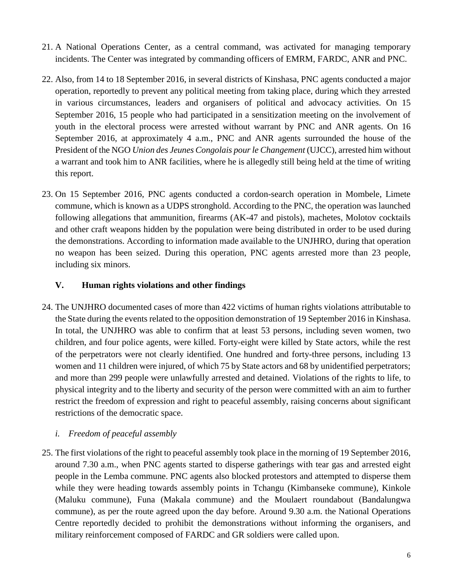- 21. A National Operations Center, as a central command, was activated for managing temporary incidents. The Center was integrated by commanding officers of EMRM, FARDC, ANR and PNC.
- 22. Also, from 14 to 18 September 2016, in several districts of Kinshasa, PNC agents conducted a major operation, reportedly to prevent any political meeting from taking place, during which they arrested in various circumstances, leaders and organisers of political and advocacy activities. On 15 September 2016, 15 people who had participated in a sensitization meeting on the involvement of youth in the electoral process were arrested without warrant by PNC and ANR agents. On 16 September 2016, at approximately 4 a.m., PNC and ANR agents surrounded the house of the President of the NGO *Union des Jeunes Congolais pour le Changement* (UJCC), arrested him without a warrant and took him to ANR facilities, where he is allegedly still being held at the time of writing this report.
- 23. On 15 September 2016, PNC agents conducted a cordon-search operation in Mombele, Limete commune, which is known as a UDPS stronghold. According to the PNC, the operation was launched following allegations that ammunition, firearms (AK-47 and pistols), machetes, Molotov cocktails and other craft weapons hidden by the population were being distributed in order to be used during the demonstrations. According to information made available to the UNJHRO, during that operation no weapon has been seized. During this operation, PNC agents arrested more than 23 people, including six minors.

### **V. Human rights violations and other findings**

24. The UNJHRO documented cases of more than 422 victims of human rights violations attributable to the State during the events related to the opposition demonstration of 19 September 2016 in Kinshasa. In total, the UNJHRO was able to confirm that at least 53 persons, including seven women, two children, and four police agents, were killed. Forty-eight were killed by State actors, while the rest of the perpetrators were not clearly identified. One hundred and forty-three persons, including 13 women and 11 children were injured, of which 75 by State actors and 68 by unidentified perpetrators; and more than 299 people were unlawfully arrested and detained. Violations of the rights to life, to physical integrity and to the liberty and security of the person were committed with an aim to further restrict the freedom of expression and right to peaceful assembly, raising concerns about significant restrictions of the democratic space.

#### *i. Freedom of peaceful assembly*

25. The first violations of the right to peaceful assembly took place in the morning of 19 September 2016, around 7.30 a.m., when PNC agents started to disperse gatherings with tear gas and arrested eight people in the Lemba commune. PNC agents also blocked protestors and attempted to disperse them while they were heading towards assembly points in Tchangu (Kimbanseke commune), Kinkole (Maluku commune), Funa (Makala commune) and the Moulaert roundabout (Bandalungwa commune), as per the route agreed upon the day before. Around 9.30 a.m. the National Operations Centre reportedly decided to prohibit the demonstrations without informing the organisers, and military reinforcement composed of FARDC and GR soldiers were called upon.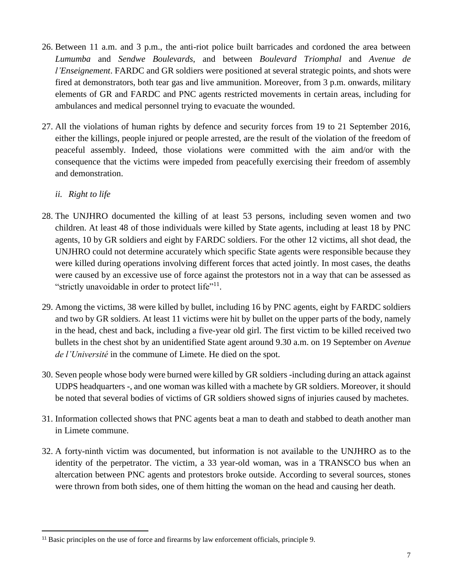- 26. Between 11 a.m. and 3 p.m., the anti-riot police built barricades and cordoned the area between *Lumumba* and *Sendwe Boulevards*, and between *Boulevard Triomphal* and *Avenue de l'Enseignement*. FARDC and GR soldiers were positioned at several strategic points, and shots were fired at demonstrators, both tear gas and live ammunition. Moreover, from 3 p.m. onwards, military elements of GR and FARDC and PNC agents restricted movements in certain areas, including for ambulances and medical personnel trying to evacuate the wounded.
- 27. All the violations of human rights by defence and security forces from 19 to 21 September 2016, either the killings, people injured or people arrested, are the result of the violation of the freedom of peaceful assembly. Indeed, those violations were committed with the aim and/or with the consequence that the victims were impeded from peacefully exercising their freedom of assembly and demonstration.
	- *ii. Right to life*

 $\overline{a}$ 

- 28. The UNJHRO documented the killing of at least 53 persons, including seven women and two children. At least 48 of those individuals were killed by State agents, including at least 18 by PNC agents, 10 by GR soldiers and eight by FARDC soldiers. For the other 12 victims, all shot dead, the UNJHRO could not determine accurately which specific State agents were responsible because they were killed during operations involving different forces that acted jointly. In most cases, the deaths were caused by an excessive use of force against the protestors not in a way that can be assessed as "strictly unavoidable in order to protect life"<sup>11</sup>.
- 29. Among the victims, 38 were killed by bullet, including 16 by PNC agents, eight by FARDC soldiers and two by GR soldiers. At least 11 victims were hit by bullet on the upper parts of the body, namely in the head, chest and back, including a five-year old girl. The first victim to be killed received two bullets in the chest shot by an unidentified State agent around 9.30 a.m. on 19 September on *Avenue de l'Université* in the commune of Limete. He died on the spot.
- 30. Seven people whose body were burned were killed by GR soldiers -including during an attack against UDPS headquarters -, and one woman was killed with a machete by GR soldiers. Moreover, it should be noted that several bodies of victims of GR soldiers showed signs of injuries caused by machetes.
- 31. Information collected shows that PNC agents beat a man to death and stabbed to death another man in Limete commune.
- 32. A forty-ninth victim was documented, but information is not available to the UNJHRO as to the identity of the perpetrator. The victim, a 33 year-old woman, was in a TRANSCO bus when an altercation between PNC agents and protestors broke outside. According to several sources, stones were thrown from both sides, one of them hitting the woman on the head and causing her death.

<sup>&</sup>lt;sup>11</sup> Basic principles on the use of force and firearms by law enforcement officials, principle 9.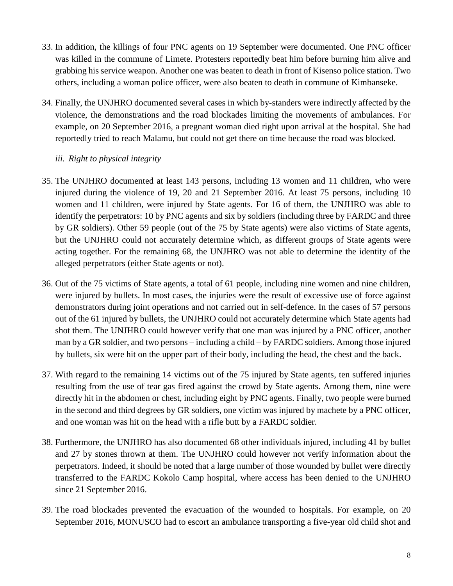- 33. In addition, the killings of four PNC agents on 19 September were documented. One PNC officer was killed in the commune of Limete. Protesters reportedly beat him before burning him alive and grabbing his service weapon. Another one was beaten to death in front of Kisenso police station. Two others, including a woman police officer, were also beaten to death in commune of Kimbanseke.
- 34. Finally, the UNJHRO documented several cases in which by-standers were indirectly affected by the violence, the demonstrations and the road blockades limiting the movements of ambulances. For example, on 20 September 2016, a pregnant woman died right upon arrival at the hospital. She had reportedly tried to reach Malamu, but could not get there on time because the road was blocked.

#### *iii. Right to physical integrity*

- 35. The UNJHRO documented at least 143 persons, including 13 women and 11 children, who were injured during the violence of 19, 20 and 21 September 2016. At least 75 persons, including 10 women and 11 children, were injured by State agents. For 16 of them, the UNJHRO was able to identify the perpetrators: 10 by PNC agents and six by soldiers (including three by FARDC and three by GR soldiers). Other 59 people (out of the 75 by State agents) were also victims of State agents, but the UNJHRO could not accurately determine which, as different groups of State agents were acting together. For the remaining 68, the UNJHRO was not able to determine the identity of the alleged perpetrators (either State agents or not).
- 36. Out of the 75 victims of State agents, a total of 61 people, including nine women and nine children, were injured by bullets. In most cases, the injuries were the result of excessive use of force against demonstrators during joint operations and not carried out in self-defence. In the cases of 57 persons out of the 61 injured by bullets, the UNJHRO could not accurately determine which State agents had shot them. The UNJHRO could however verify that one man was injured by a PNC officer, another man by a GR soldier, and two persons – including a child – by FARDC soldiers. Among those injured by bullets, six were hit on the upper part of their body, including the head, the chest and the back.
- 37. With regard to the remaining 14 victims out of the 75 injured by State agents, ten suffered injuries resulting from the use of tear gas fired against the crowd by State agents. Among them, nine were directly hit in the abdomen or chest, including eight by PNC agents. Finally, two people were burned in the second and third degrees by GR soldiers, one victim was injured by machete by a PNC officer, and one woman was hit on the head with a rifle butt by a FARDC soldier.
- 38. Furthermore, the UNJHRO has also documented 68 other individuals injured, including 41 by bullet and 27 by stones thrown at them. The UNJHRO could however not verify information about the perpetrators. Indeed, it should be noted that a large number of those wounded by bullet were directly transferred to the FARDC Kokolo Camp hospital, where access has been denied to the UNJHRO since 21 September 2016.
- 39. The road blockades prevented the evacuation of the wounded to hospitals. For example, on 20 September 2016, MONUSCO had to escort an ambulance transporting a five-year old child shot and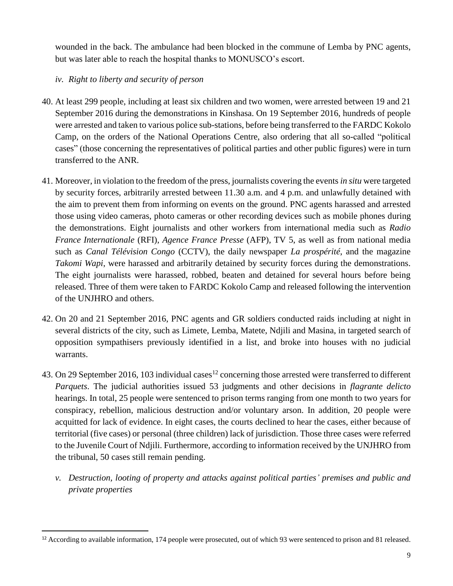wounded in the back. The ambulance had been blocked in the commune of Lemba by PNC agents, but was later able to reach the hospital thanks to MONUSCO's escort.

## *iv. Right to liberty and security of person*

 $\overline{a}$ 

- 40. At least 299 people, including at least six children and two women, were arrested between 19 and 21 September 2016 during the demonstrations in Kinshasa. On 19 September 2016, hundreds of people were arrested and taken to various police sub-stations, before being transferred to the FARDC Kokolo Camp, on the orders of the National Operations Centre, also ordering that all so-called "political cases" (those concerning the representatives of political parties and other public figures) were in turn transferred to the ANR.
- 41. Moreover, in violation to the freedom of the press, journalists covering the events *in situ* were targeted by security forces, arbitrarily arrested between 11.30 a.m. and 4 p.m. and unlawfully detained with the aim to prevent them from informing on events on the ground. PNC agents harassed and arrested those using video cameras, photo cameras or other recording devices such as mobile phones during the demonstrations. Eight journalists and other workers from international media such as *Radio France Internationale* (RFI), *Agence France Presse* (AFP), TV 5, as well as from national media such as *Canal Télévision Congo* (CCTV), the daily newspaper *La prospérité*, and the magazine *Takomi Wapi*, were harassed and arbitrarily detained by security forces during the demonstrations. The eight journalists were harassed, robbed, beaten and detained for several hours before being released. Three of them were taken to FARDC Kokolo Camp and released following the intervention of the UNJHRO and others.
- 42. On 20 and 21 September 2016, PNC agents and GR soldiers conducted raids including at night in several districts of the city, such as Limete, Lemba, Matete, Ndjili and Masina, in targeted search of opposition sympathisers previously identified in a list, and broke into houses with no judicial warrants.
- 43. On 29 September 2016, 103 individual cases<sup>12</sup> concerning those arrested were transferred to different *Parquets*. The judicial authorities issued 53 judgments and other decisions in *flagrante delicto* hearings. In total, 25 people were sentenced to prison terms ranging from one month to two years for conspiracy, rebellion, malicious destruction and/or voluntary arson. In addition, 20 people were acquitted for lack of evidence. In eight cases, the courts declined to hear the cases, either because of territorial (five cases) or personal (three children) lack of jurisdiction. Those three cases were referred to the Juvenile Court of Ndjili. Furthermore, according to information received by the UNJHRO from the tribunal, 50 cases still remain pending.
	- *v. Destruction, looting of property and attacks against political parties' premises and public and private properties*

<sup>12</sup> According to available information, 174 people were prosecuted, out of which 93 were sentenced to prison and 81 released.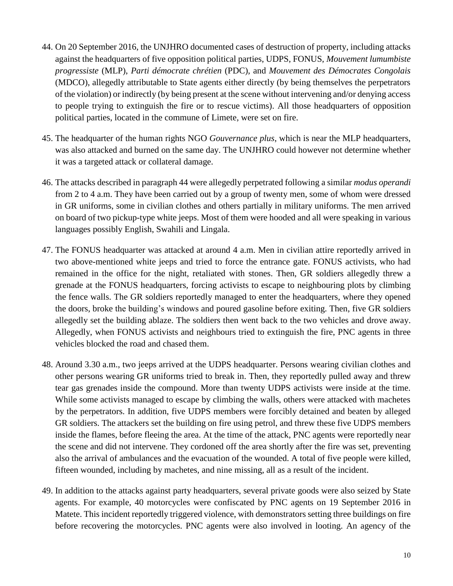- 44. On 20 September 2016, the UNJHRO documented cases of destruction of property, including attacks against the headquarters of five opposition political parties, UDPS, FONUS, *Mouvement lumumbiste progressiste* (MLP), *Parti démocrate chrétien* (PDC), and *Mouvement des Démocrates Congolais* (MDCO), allegedly attributable to State agents either directly (by being themselves the perpetrators of the violation) or indirectly (by being present at the scene without intervening and/or denying access to people trying to extinguish the fire or to rescue victims). All those headquarters of opposition political parties, located in the commune of Limete, were set on fire.
- 45. The headquarter of the human rights NGO *Gouvernance plus*, which is near the MLP headquarters, was also attacked and burned on the same day. The UNJHRO could however not determine whether it was a targeted attack or collateral damage.
- 46. The attacks described in paragraph 44 were allegedly perpetrated following a similar *modus operandi* from 2 to 4 a.m. They have been carried out by a group of twenty men, some of whom were dressed in GR uniforms, some in civilian clothes and others partially in military uniforms. The men arrived on board of two pickup-type white jeeps. Most of them were hooded and all were speaking in various languages possibly English, Swahili and Lingala.
- 47. The FONUS headquarter was attacked at around 4 a.m. Men in civilian attire reportedly arrived in two above-mentioned white jeeps and tried to force the entrance gate. FONUS activists, who had remained in the office for the night, retaliated with stones. Then, GR soldiers allegedly threw a grenade at the FONUS headquarters, forcing activists to escape to neighbouring plots by climbing the fence walls. The GR soldiers reportedly managed to enter the headquarters, where they opened the doors, broke the building's windows and poured gasoline before exiting. Then, five GR soldiers allegedly set the building ablaze. The soldiers then went back to the two vehicles and drove away. Allegedly, when FONUS activists and neighbours tried to extinguish the fire, PNC agents in three vehicles blocked the road and chased them.
- 48. Around 3.30 a.m., two jeeps arrived at the UDPS headquarter. Persons wearing civilian clothes and other persons wearing GR uniforms tried to break in. Then, they reportedly pulled away and threw tear gas grenades inside the compound. More than twenty UDPS activists were inside at the time. While some activists managed to escape by climbing the walls, others were attacked with machetes by the perpetrators. In addition, five UDPS members were forcibly detained and beaten by alleged GR soldiers. The attackers set the building on fire using petrol, and threw these five UDPS members inside the flames, before fleeing the area. At the time of the attack, PNC agents were reportedly near the scene and did not intervene. They cordoned off the area shortly after the fire was set, preventing also the arrival of ambulances and the evacuation of the wounded. A total of five people were killed, fifteen wounded, including by machetes, and nine missing, all as a result of the incident.
- 49. In addition to the attacks against party headquarters, several private goods were also seized by State agents. For example, 40 motorcycles were confiscated by PNC agents on 19 September 2016 in Matete. This incident reportedly triggered violence, with demonstrators setting three buildings on fire before recovering the motorcycles. PNC agents were also involved in looting. An agency of the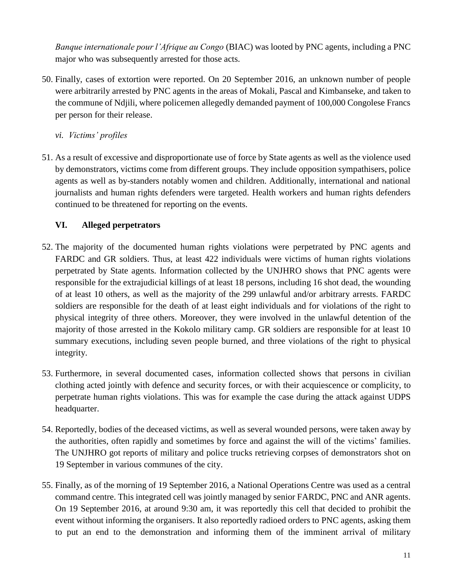*Banque internationale pour l'Afrique au Congo* (BIAC) was looted by PNC agents, including a PNC major who was subsequently arrested for those acts.

50. Finally, cases of extortion were reported. On 20 September 2016, an unknown number of people were arbitrarily arrested by PNC agents in the areas of Mokali, Pascal and Kimbanseke, and taken to the commune of Ndjili, where policemen allegedly demanded payment of 100,000 Congolese Francs per person for their release.

*vi. Victims' profiles*

51. As a result of excessive and disproportionate use of force by State agents as well as the violence used by demonstrators, victims come from different groups. They include opposition sympathisers, police agents as well as by-standers notably women and children. Additionally, international and national journalists and human rights defenders were targeted. Health workers and human rights defenders continued to be threatened for reporting on the events.

### **VI. Alleged perpetrators**

- 52. The majority of the documented human rights violations were perpetrated by PNC agents and FARDC and GR soldiers. Thus, at least 422 individuals were victims of human rights violations perpetrated by State agents. Information collected by the UNJHRO shows that PNC agents were responsible for the extrajudicial killings of at least 18 persons, including 16 shot dead, the wounding of at least 10 others, as well as the majority of the 299 unlawful and/or arbitrary arrests. FARDC soldiers are responsible for the death of at least eight individuals and for violations of the right to physical integrity of three others. Moreover, they were involved in the unlawful detention of the majority of those arrested in the Kokolo military camp. GR soldiers are responsible for at least 10 summary executions, including seven people burned, and three violations of the right to physical integrity.
- 53. Furthermore, in several documented cases, information collected shows that persons in civilian clothing acted jointly with defence and security forces, or with their acquiescence or complicity, to perpetrate human rights violations. This was for example the case during the attack against UDPS headquarter.
- 54. Reportedly, bodies of the deceased victims, as well as several wounded persons, were taken away by the authorities, often rapidly and sometimes by force and against the will of the victims' families. The UNJHRO got reports of military and police trucks retrieving corpses of demonstrators shot on 19 September in various communes of the city.
- 55. Finally, as of the morning of 19 September 2016, a National Operations Centre was used as a central command centre. This integrated cell was jointly managed by senior FARDC, PNC and ANR agents. On 19 September 2016, at around 9:30 am, it was reportedly this cell that decided to prohibit the event without informing the organisers. It also reportedly radioed orders to PNC agents, asking them to put an end to the demonstration and informing them of the imminent arrival of military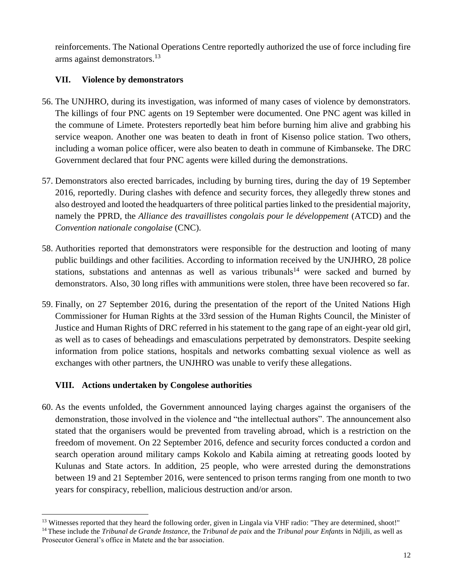reinforcements. The National Operations Centre reportedly authorized the use of force including fire arms against demonstrators. 13

## **VII. Violence by demonstrators**

- 56. The UNJHRO, during its investigation, was informed of many cases of violence by demonstrators. The killings of four PNC agents on 19 September were documented. One PNC agent was killed in the commune of Limete. Protesters reportedly beat him before burning him alive and grabbing his service weapon. Another one was beaten to death in front of Kisenso police station. Two others, including a woman police officer, were also beaten to death in commune of Kimbanseke. The DRC Government declared that four PNC agents were killed during the demonstrations.
- 57. Demonstrators also erected barricades, including by burning tires, during the day of 19 September 2016, reportedly. During clashes with defence and security forces, they allegedly threw stones and also destroyed and looted the headquarters of three political parties linked to the presidential majority, namely the PPRD, the *Alliance des travaillistes congolais pour le développement* (ATCD) and the *Convention nationale congolaise* (CNC).
- 58. Authorities reported that demonstrators were responsible for the destruction and looting of many public buildings and other facilities. According to information received by the UNJHRO, 28 police stations, substations and antennas as well as various tribunals<sup>14</sup> were sacked and burned by demonstrators. Also, 30 long rifles with ammunitions were stolen, three have been recovered so far.
- 59. Finally, on 27 September 2016, during the presentation of the report of the United Nations High Commissioner for Human Rights at the 33rd session of the Human Rights Council, the Minister of Justice and Human Rights of DRC referred in his statement to the gang rape of an eight-year old girl, as well as to cases of beheadings and emasculations perpetrated by demonstrators. Despite seeking information from police stations, hospitals and networks combatting sexual violence as well as exchanges with other partners, the UNJHRO was unable to verify these allegations.

#### **VIII. Actions undertaken by Congolese authorities**

60. As the events unfolded, the Government announced laying charges against the organisers of the demonstration, those involved in the violence and "the intellectual authors". The announcement also stated that the organisers would be prevented from traveling abroad, which is a restriction on the freedom of movement. On 22 September 2016, defence and security forces conducted a cordon and search operation around military camps Kokolo and Kabila aiming at retreating goods looted by Kulunas and State actors. In addition, 25 people, who were arrested during the demonstrations between 19 and 21 September 2016, were sentenced to prison terms ranging from one month to two years for conspiracy, rebellion, malicious destruction and/or arson.

 $\overline{a}$ <sup>13</sup> Witnesses reported that they heard the following order, given in Lingala via VHF radio: "They are determined, shoot!" <sup>14</sup> These include the *Tribunal de Grande Instance*, the *Tribunal de paix* and the *Tribunal pour Enfants* in Ndjili, as well as Prosecutor General's office in Matete and the bar association.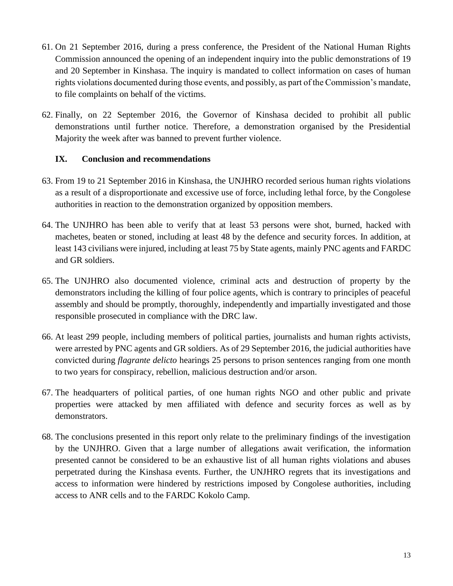- 61. On 21 September 2016, during a press conference, the President of the National Human Rights Commission announced the opening of an independent inquiry into the public demonstrations of 19 and 20 September in Kinshasa. The inquiry is mandated to collect information on cases of human rights violations documented during those events, and possibly, as part of the Commission's mandate, to file complaints on behalf of the victims.
- 62. Finally, on 22 September 2016, the Governor of Kinshasa decided to prohibit all public demonstrations until further notice. Therefore, a demonstration organised by the Presidential Majority the week after was banned to prevent further violence.

#### **IX. Conclusion and recommendations**

- 63. From 19 to 21 September 2016 in Kinshasa, the UNJHRO recorded serious human rights violations as a result of a disproportionate and excessive use of force, including lethal force, by the Congolese authorities in reaction to the demonstration organized by opposition members.
- 64. The UNJHRO has been able to verify that at least 53 persons were shot, burned, hacked with machetes, beaten or stoned, including at least 48 by the defence and security forces. In addition, at least 143 civilians were injured, including at least 75 by State agents, mainly PNC agents and FARDC and GR soldiers.
- 65. The UNJHRO also documented violence, criminal acts and destruction of property by the demonstrators including the killing of four police agents, which is contrary to principles of peaceful assembly and should be promptly, thoroughly, independently and impartially investigated and those responsible prosecuted in compliance with the DRC law.
- 66. At least 299 people, including members of political parties, journalists and human rights activists, were arrested by PNC agents and GR soldiers. As of 29 September 2016, the judicial authorities have convicted during *flagrante delicto* hearings 25 persons to prison sentences ranging from one month to two years for conspiracy, rebellion, malicious destruction and/or arson.
- 67. The headquarters of political parties, of one human rights NGO and other public and private properties were attacked by men affiliated with defence and security forces as well as by demonstrators.
- 68. The conclusions presented in this report only relate to the preliminary findings of the investigation by the UNJHRO. Given that a large number of allegations await verification, the information presented cannot be considered to be an exhaustive list of all human rights violations and abuses perpetrated during the Kinshasa events. Further, the UNJHRO regrets that its investigations and access to information were hindered by restrictions imposed by Congolese authorities, including access to ANR cells and to the FARDC Kokolo Camp.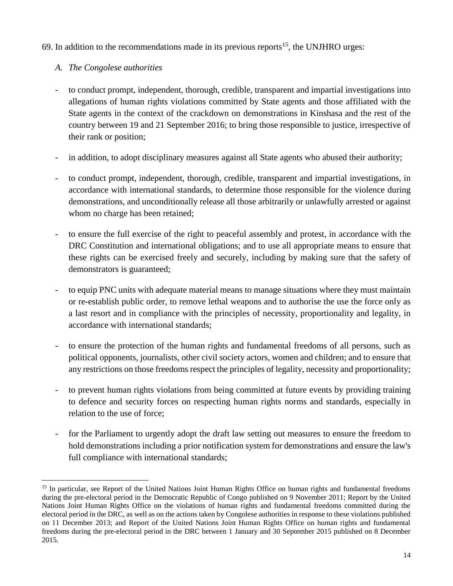69. In addition to the recommendations made in its previous reports<sup>15</sup>, the UNJHRO urges:

# *A. The Congolese authorities*

- to conduct prompt, independent, thorough, credible, transparent and impartial investigations into allegations of human rights violations committed by State agents and those affiliated with the State agents in the context of the crackdown on demonstrations in Kinshasa and the rest of the country between 19 and 21 September 2016; to bring those responsible to justice, irrespective of their rank or position;
- in addition, to adopt disciplinary measures against all State agents who abused their authority;
- to conduct prompt, independent, thorough, credible, transparent and impartial investigations, in accordance with international standards, to determine those responsible for the violence during demonstrations, and unconditionally release all those arbitrarily or unlawfully arrested or against whom no charge has been retained;
- to ensure the full exercise of the right to peaceful assembly and protest, in accordance with the DRC Constitution and international obligations; and to use all appropriate means to ensure that these rights can be exercised freely and securely, including by making sure that the safety of demonstrators is guaranteed;
- to equip PNC units with adequate material means to manage situations where they must maintain or re-establish public order, to remove lethal weapons and to authorise the use the force only as a last resort and in compliance with the principles of necessity, proportionality and legality, in accordance with international standards;
- to ensure the protection of the human rights and fundamental freedoms of all persons, such as political opponents, journalists, other civil society actors, women and children; and to ensure that any restrictions on those freedoms respect the principles of legality, necessity and proportionality;
- to prevent human rights violations from being committed at future events by providing training to defence and security forces on respecting human rights norms and standards, especially in relation to the use of force;
- for the Parliament to urgently adopt the draft law setting out measures to ensure the freedom to hold demonstrations including a prior notification system for demonstrations and ensure the law's full compliance with international standards;

 $\overline{a}$ <sup>15</sup> In particular, see Report of the United Nations Joint Human Rights Office on human rights and fundamental freedoms during the pre-electoral period in the Democratic Republic of Congo published on 9 November 2011; Report by the United Nations Joint Human Rights Office on the violations of human rights and fundamental freedoms committed during the electoral period in the DRC, as well as on the actions taken by Congolese authorities in response to these violations published on 11 December 2013; and Report of the United Nations Joint Human Rights Office on human rights and fundamental freedoms during the pre-electoral period in the DRC between 1 January and 30 September 2015 published on 8 December 2015.